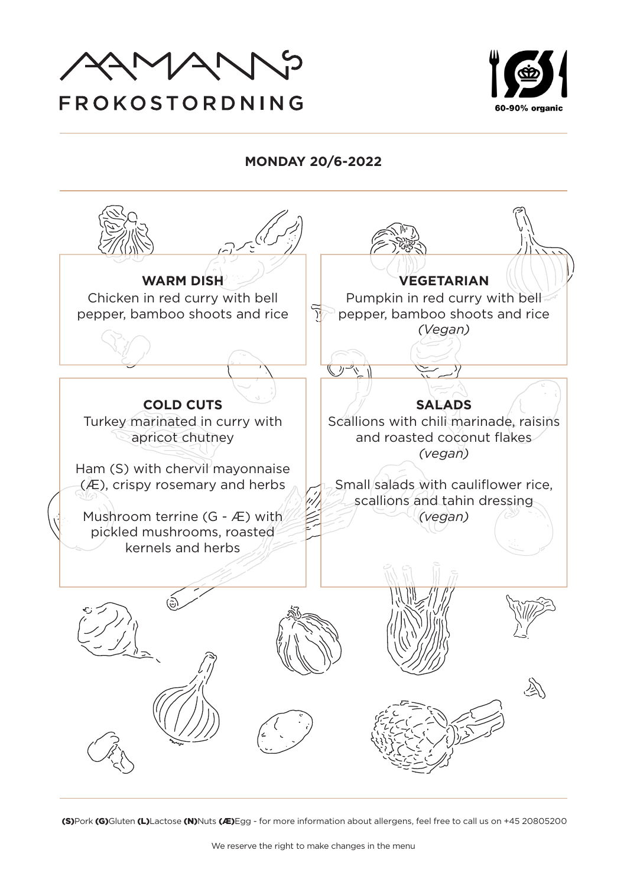



**MONDAY 20/6-2022**

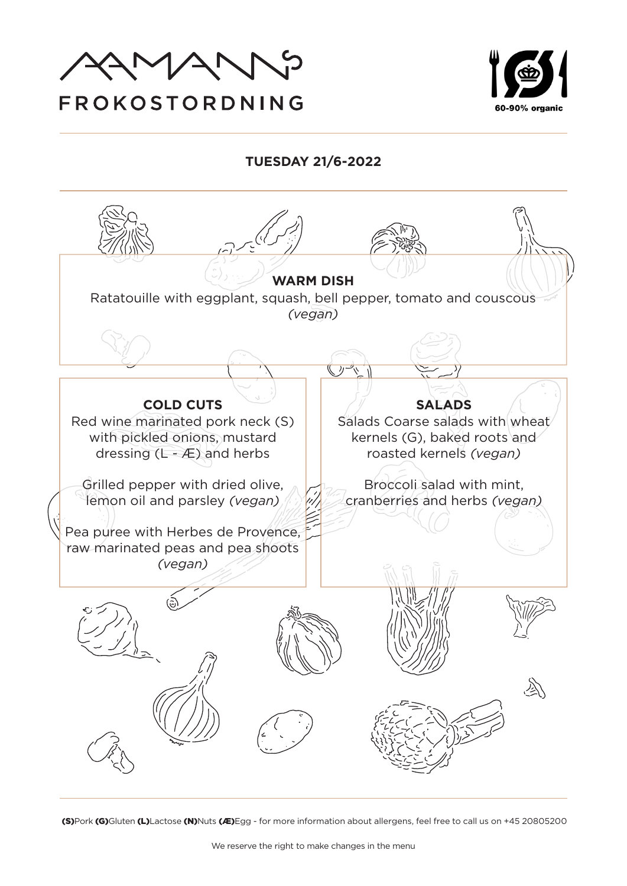

# FROKOSTORDNING



# **TUESDAY 21/6-2022**

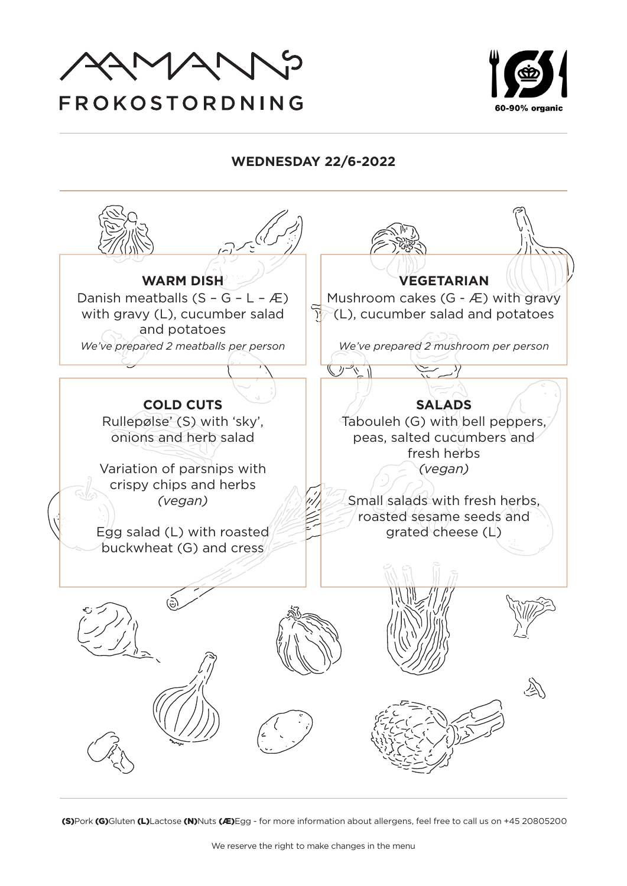



### **WEDNESDAY 22/6-2022**

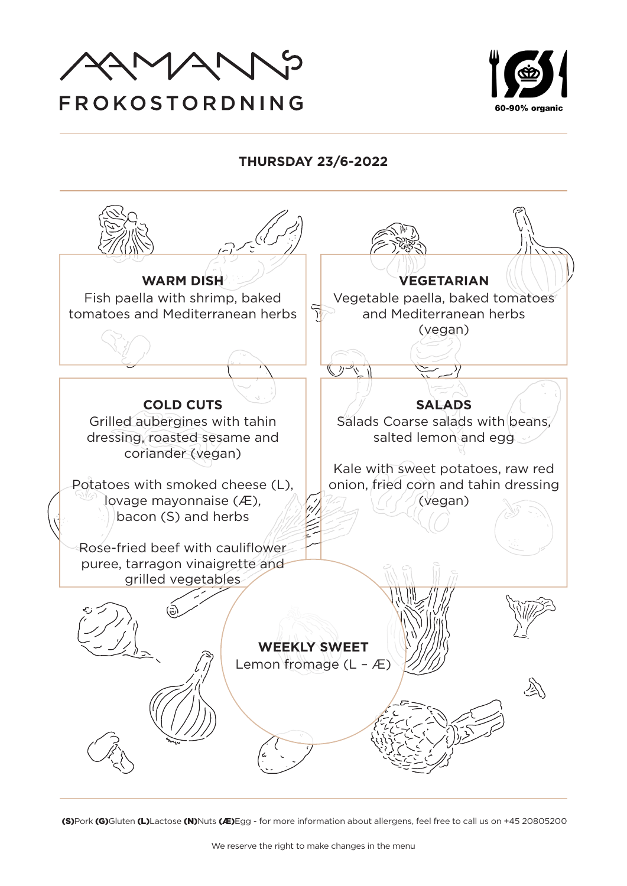



# **THURSDAY 23/6-2022**